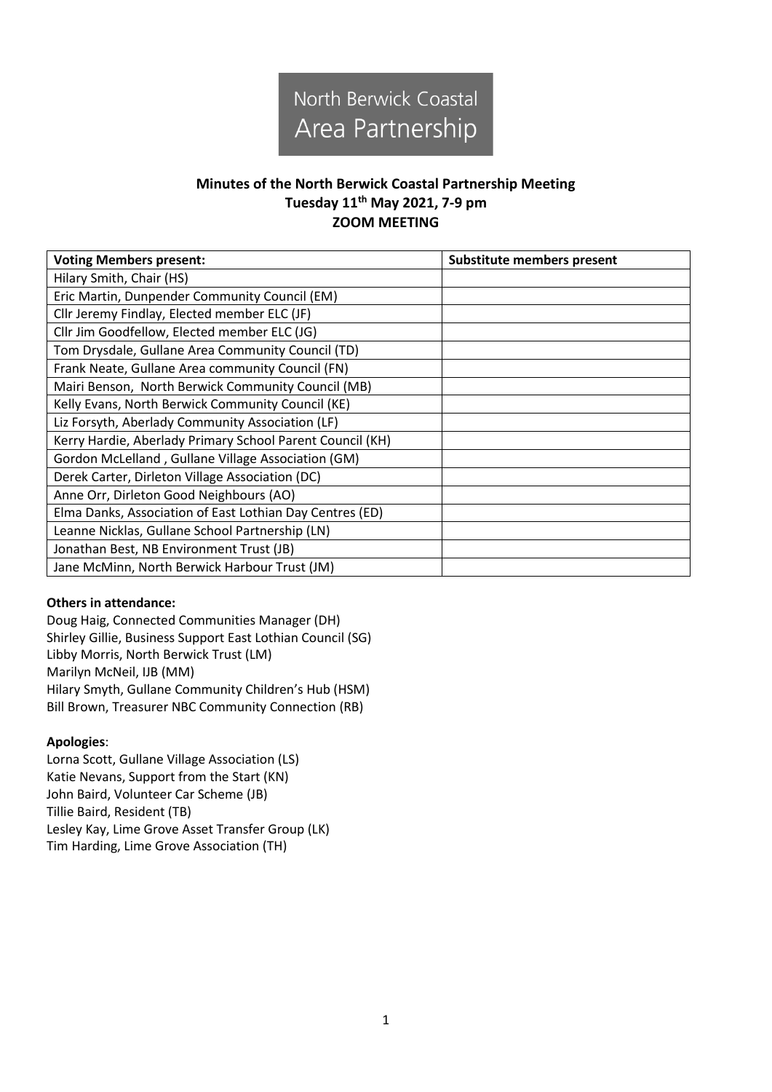

## **Minutes of the North Berwick Coastal Partnership Meeting Tuesday 11th May 2021, 7-9 pm ZOOM MEETING**

| <b>Voting Members present:</b>                            | <b>Substitute members present</b> |
|-----------------------------------------------------------|-----------------------------------|
| Hilary Smith, Chair (HS)                                  |                                   |
| Eric Martin, Dunpender Community Council (EM)             |                                   |
| Cllr Jeremy Findlay, Elected member ELC (JF)              |                                   |
| Cllr Jim Goodfellow, Elected member ELC (JG)              |                                   |
| Tom Drysdale, Gullane Area Community Council (TD)         |                                   |
| Frank Neate, Gullane Area community Council (FN)          |                                   |
| Mairi Benson, North Berwick Community Council (MB)        |                                   |
| Kelly Evans, North Berwick Community Council (KE)         |                                   |
| Liz Forsyth, Aberlady Community Association (LF)          |                                   |
| Kerry Hardie, Aberlady Primary School Parent Council (KH) |                                   |
| Gordon McLelland, Gullane Village Association (GM)        |                                   |
| Derek Carter, Dirleton Village Association (DC)           |                                   |
| Anne Orr, Dirleton Good Neighbours (AO)                   |                                   |
| Elma Danks, Association of East Lothian Day Centres (ED)  |                                   |
| Leanne Nicklas, Gullane School Partnership (LN)           |                                   |
| Jonathan Best, NB Environment Trust (JB)                  |                                   |
| Jane McMinn, North Berwick Harbour Trust (JM)             |                                   |

## **Others in attendance:**

Doug Haig, Connected Communities Manager (DH) Shirley Gillie, Business Support East Lothian Council (SG) Libby Morris, North Berwick Trust (LM) Marilyn McNeil, IJB (MM) Hilary Smyth, Gullane Community Children's Hub (HSM) Bill Brown, Treasurer NBC Community Connection (RB)

## **Apologies**:

Lorna Scott, Gullane Village Association (LS) Katie Nevans, Support from the Start (KN) John Baird, Volunteer Car Scheme (JB) Tillie Baird, Resident (TB) Lesley Kay, Lime Grove Asset Transfer Group (LK) Tim Harding, Lime Grove Association (TH)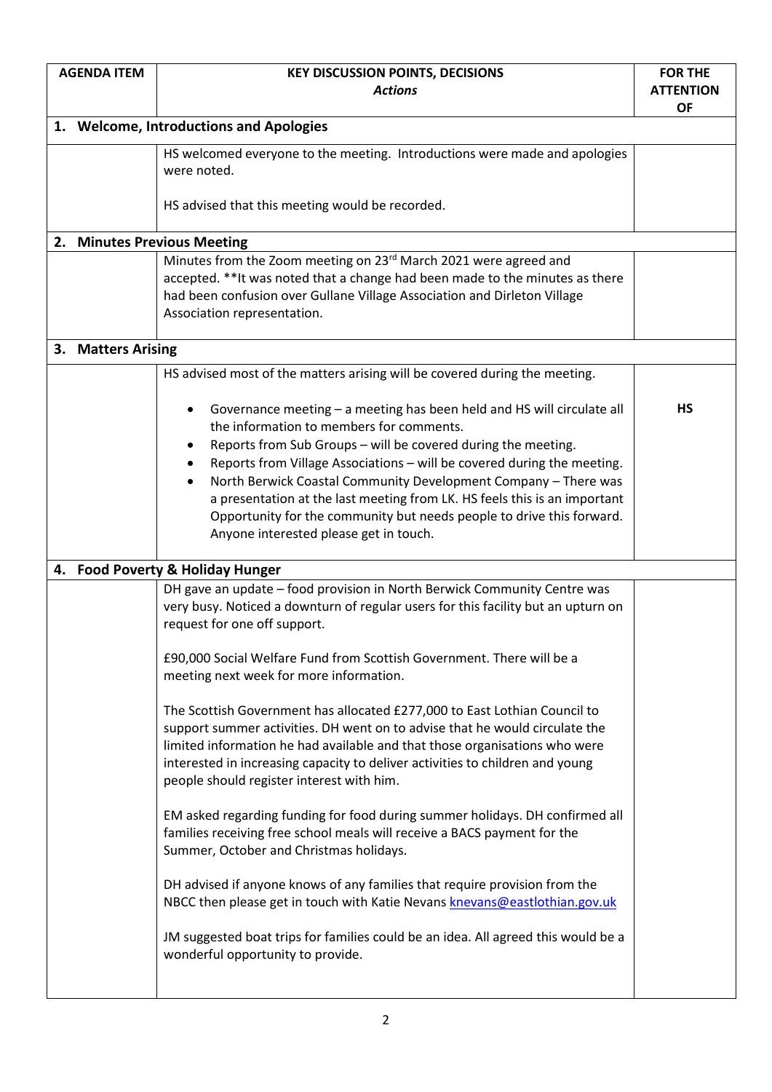| <b>AGENDA ITEM</b> |                                         | <b>KEY DISCUSSION POINTS, DECISIONS</b>                                                                                                                                                                                                                                                                                                                                                                                                                                                                                                | <b>FOR THE</b>                |
|--------------------|-----------------------------------------|----------------------------------------------------------------------------------------------------------------------------------------------------------------------------------------------------------------------------------------------------------------------------------------------------------------------------------------------------------------------------------------------------------------------------------------------------------------------------------------------------------------------------------------|-------------------------------|
|                    | <b>Actions</b>                          |                                                                                                                                                                                                                                                                                                                                                                                                                                                                                                                                        | <b>ATTENTION</b><br><b>OF</b> |
|                    | 1. Welcome, Introductions and Apologies |                                                                                                                                                                                                                                                                                                                                                                                                                                                                                                                                        |                               |
|                    |                                         | HS welcomed everyone to the meeting. Introductions were made and apologies<br>were noted.                                                                                                                                                                                                                                                                                                                                                                                                                                              |                               |
|                    |                                         | HS advised that this meeting would be recorded.                                                                                                                                                                                                                                                                                                                                                                                                                                                                                        |                               |
|                    |                                         | 2. Minutes Previous Meeting                                                                                                                                                                                                                                                                                                                                                                                                                                                                                                            |                               |
|                    |                                         | Minutes from the Zoom meeting on 23rd March 2021 were agreed and<br>accepted. ** It was noted that a change had been made to the minutes as there<br>had been confusion over Gullane Village Association and Dirleton Village<br>Association representation.                                                                                                                                                                                                                                                                           |                               |
|                    | 3. Matters Arising                      |                                                                                                                                                                                                                                                                                                                                                                                                                                                                                                                                        |                               |
|                    |                                         | HS advised most of the matters arising will be covered during the meeting.                                                                                                                                                                                                                                                                                                                                                                                                                                                             |                               |
|                    |                                         | Governance meeting - a meeting has been held and HS will circulate all<br>٠<br>the information to members for comments.<br>Reports from Sub Groups - will be covered during the meeting.<br>Reports from Village Associations - will be covered during the meeting.<br>North Berwick Coastal Community Development Company - There was<br>a presentation at the last meeting from LK. HS feels this is an important<br>Opportunity for the community but needs people to drive this forward.<br>Anyone interested please get in touch. | <b>HS</b>                     |
|                    |                                         | 4. Food Poverty & Holiday Hunger                                                                                                                                                                                                                                                                                                                                                                                                                                                                                                       |                               |
|                    |                                         | DH gave an update - food provision in North Berwick Community Centre was<br>very busy. Noticed a downturn of regular users for this facility but an upturn on<br>request for one off support.                                                                                                                                                                                                                                                                                                                                          |                               |
|                    |                                         | £90,000 Social Welfare Fund from Scottish Government. There will be a<br>meeting next week for more information.                                                                                                                                                                                                                                                                                                                                                                                                                       |                               |
|                    |                                         | The Scottish Government has allocated £277,000 to East Lothian Council to<br>support summer activities. DH went on to advise that he would circulate the<br>limited information he had available and that those organisations who were<br>interested in increasing capacity to deliver activities to children and young<br>people should register interest with him.                                                                                                                                                                   |                               |
|                    |                                         | EM asked regarding funding for food during summer holidays. DH confirmed all<br>families receiving free school meals will receive a BACS payment for the<br>Summer, October and Christmas holidays.                                                                                                                                                                                                                                                                                                                                    |                               |
|                    |                                         | DH advised if anyone knows of any families that require provision from the<br>NBCC then please get in touch with Katie Nevans knevans@eastlothian.gov.uk                                                                                                                                                                                                                                                                                                                                                                               |                               |
|                    |                                         | JM suggested boat trips for families could be an idea. All agreed this would be a<br>wonderful opportunity to provide.                                                                                                                                                                                                                                                                                                                                                                                                                 |                               |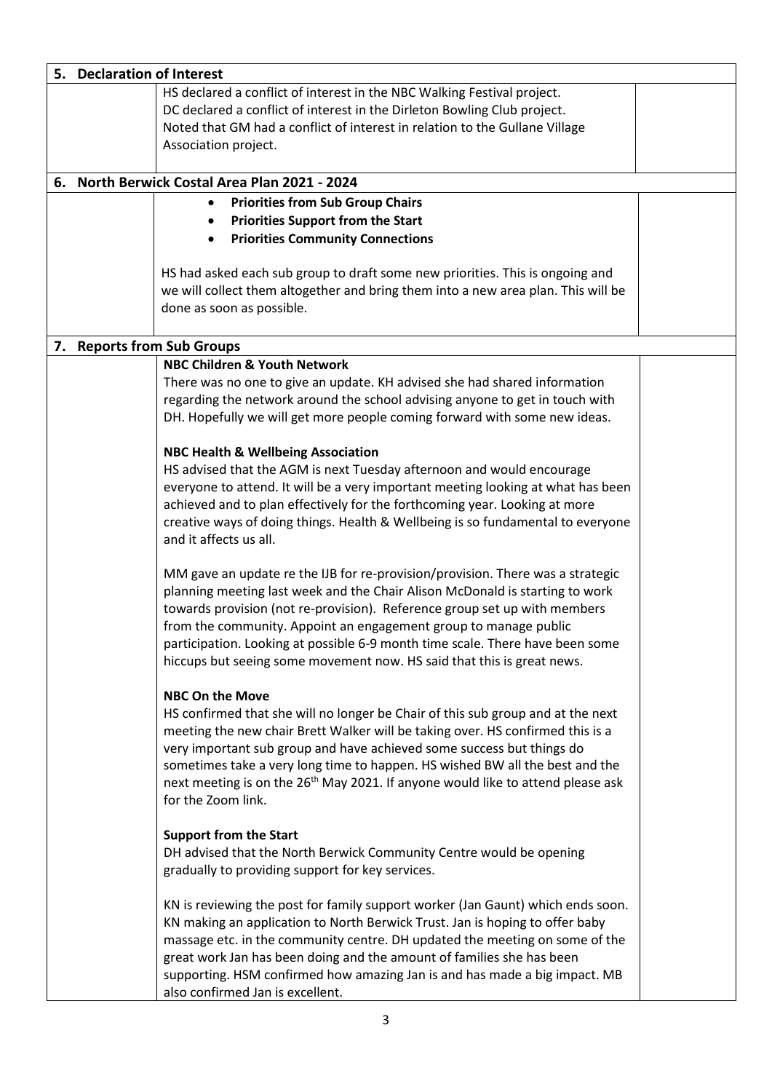| 5. Declaration of Interest |                                                                                                                                                                                                                                                                                                                                                                                                                                                                            |  |
|----------------------------|----------------------------------------------------------------------------------------------------------------------------------------------------------------------------------------------------------------------------------------------------------------------------------------------------------------------------------------------------------------------------------------------------------------------------------------------------------------------------|--|
|                            | HS declared a conflict of interest in the NBC Walking Festival project.<br>DC declared a conflict of interest in the Dirleton Bowling Club project.<br>Noted that GM had a conflict of interest in relation to the Gullane Village<br>Association project.                                                                                                                                                                                                                 |  |
|                            | 6. North Berwick Costal Area Plan 2021 - 2024                                                                                                                                                                                                                                                                                                                                                                                                                              |  |
|                            | <b>Priorities from Sub Group Chairs</b><br>$\bullet$                                                                                                                                                                                                                                                                                                                                                                                                                       |  |
|                            | <b>Priorities Support from the Start</b>                                                                                                                                                                                                                                                                                                                                                                                                                                   |  |
|                            | <b>Priorities Community Connections</b>                                                                                                                                                                                                                                                                                                                                                                                                                                    |  |
|                            | HS had asked each sub group to draft some new priorities. This is ongoing and<br>we will collect them altogether and bring them into a new area plan. This will be<br>done as soon as possible.                                                                                                                                                                                                                                                                            |  |
|                            | 7. Reports from Sub Groups                                                                                                                                                                                                                                                                                                                                                                                                                                                 |  |
|                            | <b>NBC Children &amp; Youth Network</b><br>There was no one to give an update. KH advised she had shared information<br>regarding the network around the school advising anyone to get in touch with<br>DH. Hopefully we will get more people coming forward with some new ideas.                                                                                                                                                                                          |  |
|                            | <b>NBC Health &amp; Wellbeing Association</b><br>HS advised that the AGM is next Tuesday afternoon and would encourage<br>everyone to attend. It will be a very important meeting looking at what has been<br>achieved and to plan effectively for the forthcoming year. Looking at more<br>creative ways of doing things. Health & Wellbeing is so fundamental to everyone<br>and it affects us all.                                                                      |  |
|                            | MM gave an update re the IJB for re-provision/provision. There was a strategic<br>planning meeting last week and the Chair Alison McDonald is starting to work<br>towards provision (not re-provision). Reference group set up with members<br>from the community. Appoint an engagement group to manage public<br>participation. Looking at possible 6-9 month time scale. There have been some<br>hiccups but seeing some movement now. HS said that this is great news. |  |
|                            | <b>NBC On the Move</b><br>HS confirmed that she will no longer be Chair of this sub group and at the next<br>meeting the new chair Brett Walker will be taking over. HS confirmed this is a<br>very important sub group and have achieved some success but things do<br>sometimes take a very long time to happen. HS wished BW all the best and the<br>next meeting is on the 26 <sup>th</sup> May 2021. If anyone would like to attend please ask<br>for the Zoom link.  |  |
|                            | <b>Support from the Start</b><br>DH advised that the North Berwick Community Centre would be opening<br>gradually to providing support for key services.                                                                                                                                                                                                                                                                                                                   |  |
|                            | KN is reviewing the post for family support worker (Jan Gaunt) which ends soon.<br>KN making an application to North Berwick Trust. Jan is hoping to offer baby<br>massage etc. in the community centre. DH updated the meeting on some of the<br>great work Jan has been doing and the amount of families she has been<br>supporting. HSM confirmed how amazing Jan is and has made a big impact. MB<br>also confirmed Jan is excellent.                                  |  |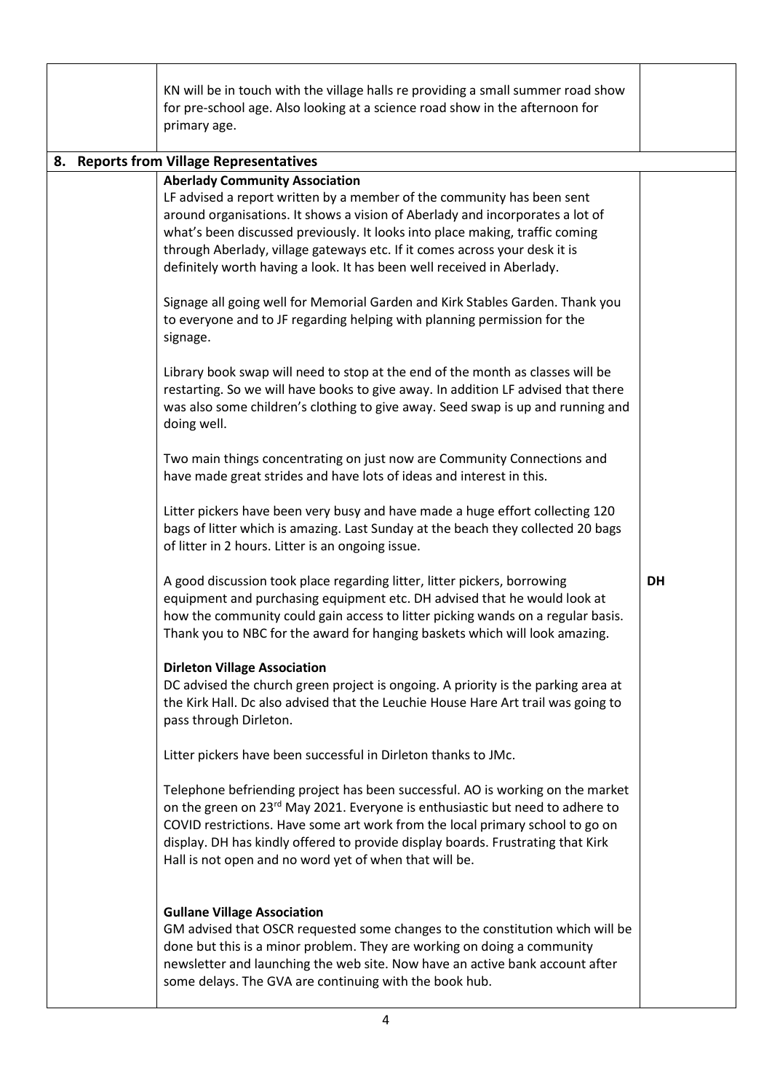|  | KN will be in touch with the village halls re providing a small summer road show<br>for pre-school age. Also looking at a science road show in the afternoon for<br>primary age.                                                                                                                                                                                                                                                         |           |
|--|------------------------------------------------------------------------------------------------------------------------------------------------------------------------------------------------------------------------------------------------------------------------------------------------------------------------------------------------------------------------------------------------------------------------------------------|-----------|
|  | 8. Reports from Village Representatives                                                                                                                                                                                                                                                                                                                                                                                                  |           |
|  | <b>Aberlady Community Association</b><br>LF advised a report written by a member of the community has been sent<br>around organisations. It shows a vision of Aberlady and incorporates a lot of<br>what's been discussed previously. It looks into place making, traffic coming<br>through Aberlady, village gateways etc. If it comes across your desk it is<br>definitely worth having a look. It has been well received in Aberlady. |           |
|  | Signage all going well for Memorial Garden and Kirk Stables Garden. Thank you<br>to everyone and to JF regarding helping with planning permission for the<br>signage.                                                                                                                                                                                                                                                                    |           |
|  | Library book swap will need to stop at the end of the month as classes will be<br>restarting. So we will have books to give away. In addition LF advised that there<br>was also some children's clothing to give away. Seed swap is up and running and<br>doing well.                                                                                                                                                                    |           |
|  | Two main things concentrating on just now are Community Connections and<br>have made great strides and have lots of ideas and interest in this.                                                                                                                                                                                                                                                                                          |           |
|  | Litter pickers have been very busy and have made a huge effort collecting 120<br>bags of litter which is amazing. Last Sunday at the beach they collected 20 bags<br>of litter in 2 hours. Litter is an ongoing issue.                                                                                                                                                                                                                   |           |
|  | A good discussion took place regarding litter, litter pickers, borrowing<br>equipment and purchasing equipment etc. DH advised that he would look at<br>how the community could gain access to litter picking wands on a regular basis.<br>Thank you to NBC for the award for hanging baskets which will look amazing.                                                                                                                   | <b>DH</b> |
|  | <b>Dirleton Village Association</b><br>DC advised the church green project is ongoing. A priority is the parking area at<br>the Kirk Hall. Dc also advised that the Leuchie House Hare Art trail was going to<br>pass through Dirleton.                                                                                                                                                                                                  |           |
|  | Litter pickers have been successful in Dirleton thanks to JMc.                                                                                                                                                                                                                                                                                                                                                                           |           |
|  | Telephone befriending project has been successful. AO is working on the market<br>on the green on 23 <sup>rd</sup> May 2021. Everyone is enthusiastic but need to adhere to<br>COVID restrictions. Have some art work from the local primary school to go on<br>display. DH has kindly offered to provide display boards. Frustrating that Kirk<br>Hall is not open and no word yet of when that will be.                                |           |
|  | <b>Gullane Village Association</b><br>GM advised that OSCR requested some changes to the constitution which will be<br>done but this is a minor problem. They are working on doing a community<br>newsletter and launching the web site. Now have an active bank account after<br>some delays. The GVA are continuing with the book hub.                                                                                                 |           |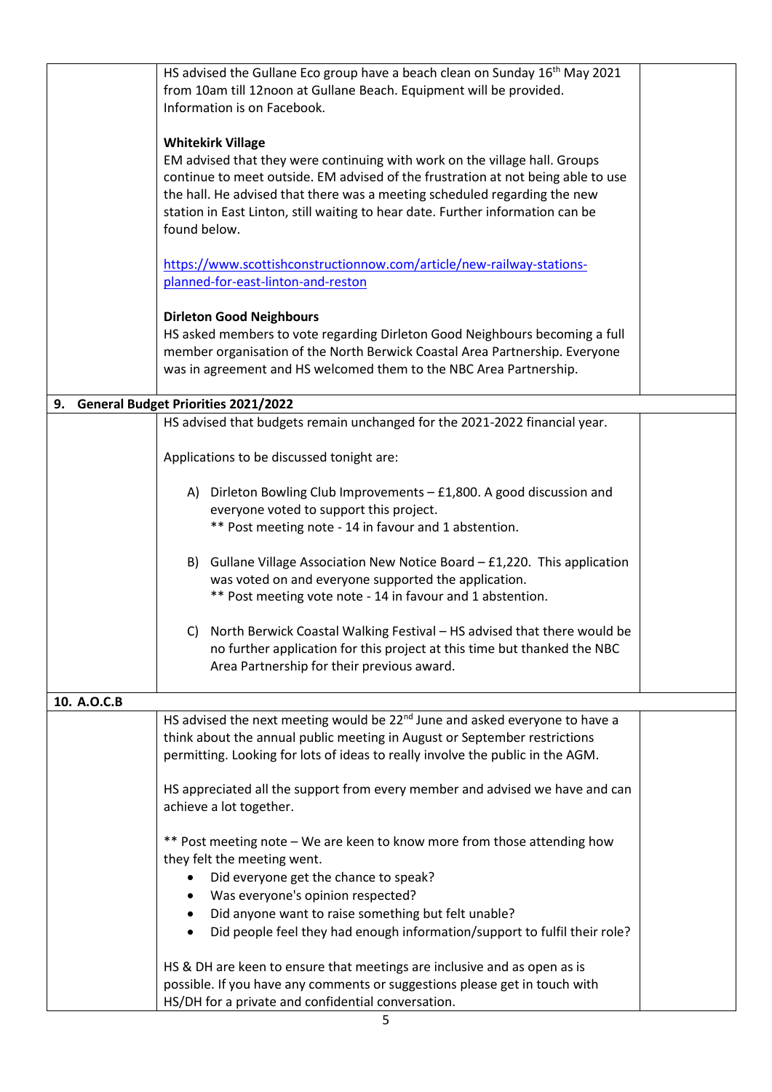|             | HS advised the Gullane Eco group have a beach clean on Sunday 16 <sup>th</sup> May 2021 |  |  |
|-------------|-----------------------------------------------------------------------------------------|--|--|
|             | from 10am till 12noon at Gullane Beach. Equipment will be provided.                     |  |  |
|             | Information is on Facebook.                                                             |  |  |
|             |                                                                                         |  |  |
|             | <b>Whitekirk Village</b>                                                                |  |  |
|             | EM advised that they were continuing with work on the village hall. Groups              |  |  |
|             | continue to meet outside. EM advised of the frustration at not being able to use        |  |  |
|             |                                                                                         |  |  |
|             | the hall. He advised that there was a meeting scheduled regarding the new               |  |  |
|             | station in East Linton, still waiting to hear date. Further information can be          |  |  |
|             | found below.                                                                            |  |  |
|             | https://www.scottishconstructionnow.com/article/new-railway-stations-                   |  |  |
|             | planned-for-east-linton-and-reston                                                      |  |  |
|             |                                                                                         |  |  |
|             | <b>Dirleton Good Neighbours</b>                                                         |  |  |
|             | HS asked members to vote regarding Dirleton Good Neighbours becoming a full             |  |  |
|             | member organisation of the North Berwick Coastal Area Partnership. Everyone             |  |  |
|             | was in agreement and HS welcomed them to the NBC Area Partnership.                      |  |  |
|             |                                                                                         |  |  |
| 9.          | <b>General Budget Priorities 2021/2022</b>                                              |  |  |
|             | HS advised that budgets remain unchanged for the 2021-2022 financial year.              |  |  |
|             |                                                                                         |  |  |
|             | Applications to be discussed tonight are:                                               |  |  |
|             | A) Dirleton Bowling Club Improvements - £1,800. A good discussion and                   |  |  |
|             | everyone voted to support this project.                                                 |  |  |
|             |                                                                                         |  |  |
|             | ** Post meeting note - 14 in favour and 1 abstention.                                   |  |  |
|             |                                                                                         |  |  |
|             | B) Gullane Village Association New Notice Board - £1,220. This application              |  |  |
|             | was voted on and everyone supported the application.                                    |  |  |
|             | ** Post meeting vote note - 14 in favour and 1 abstention.                              |  |  |
|             |                                                                                         |  |  |
|             | C) North Berwick Coastal Walking Festival - HS advised that there would be              |  |  |
|             | no further application for this project at this time but thanked the NBC                |  |  |
|             | Area Partnership for their previous award.                                              |  |  |
|             |                                                                                         |  |  |
| 10. A.O.C.B |                                                                                         |  |  |
|             | HS advised the next meeting would be 22 <sup>nd</sup> June and asked everyone to have a |  |  |
|             | think about the annual public meeting in August or September restrictions               |  |  |
|             | permitting. Looking for lots of ideas to really involve the public in the AGM.          |  |  |
|             |                                                                                         |  |  |
|             | HS appreciated all the support from every member and advised we have and can            |  |  |
|             | achieve a lot together.                                                                 |  |  |
|             |                                                                                         |  |  |
|             | ** Post meeting note - We are keen to know more from those attending how                |  |  |
|             | they felt the meeting went.                                                             |  |  |
|             |                                                                                         |  |  |
|             | Did everyone get the chance to speak?                                                   |  |  |
|             | Was everyone's opinion respected?                                                       |  |  |
|             | Did anyone want to raise something but felt unable?                                     |  |  |
|             | Did people feel they had enough information/support to fulfil their role?               |  |  |
|             | HS & DH are keen to ensure that meetings are inclusive and as open as is                |  |  |
|             | possible. If you have any comments or suggestions please get in touch with              |  |  |
|             | HS/DH for a private and confidential conversation.                                      |  |  |
|             |                                                                                         |  |  |